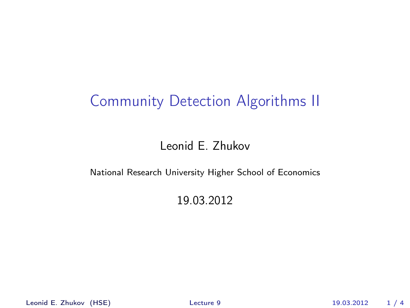## Community Detection Algorithms II

### Leonid E. Zhukov

#### National Research University Higher School of Economics

### <span id="page-0-0"></span>19.03.2012

Leonid E. Zhukov (HSE) [Lecture 9](#page-3-0) 19.03.2012 1 / 4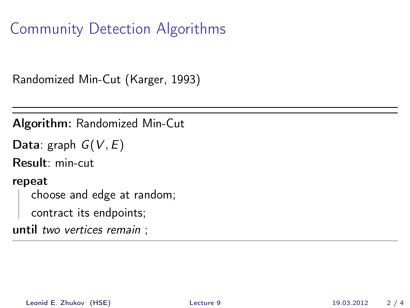Community Detection Algorithms

Randomized Min-Cut (Karger, 1993)

Algorithm: Randomized Min-Cut

```
Data: graph G(V, E)
```
Result: min-cut

repeat

choose and edge at random;

contract its endpoints;

until two vertices remain ;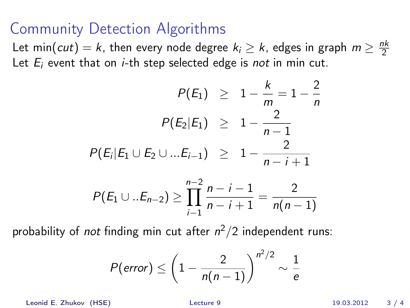## Community Detection Algorithms

Let min(*cut*) = k, then every node degree  $k_i \geq k$ , edges in graph  $m \geq \frac{nk}{2}$ 2 Let  $E_i$  event that on *i*-th step selected edge is *not* in min cut.

$$
P(E_1) \geq 1 - \frac{k}{m} = 1 - \frac{2}{n}
$$
  

$$
P(E_2|E_1) \geq 1 - \frac{2}{n-1}
$$
  

$$
P(E_i|E_1 \cup E_2 \cup ...E_{i-1}) \geq 1 - \frac{2}{n-i+1}
$$

$$
P(E_1 \cup .. E_{n-2}) \ge \prod_{i=1}^{n-2} \frac{n-i-1}{n-i+1} = \frac{2}{n(n-1)}
$$

probability of *not* finding min cut after  $n^2/2$  independent runs:

$$
P(\text{error}) \le \left(1 - \frac{2}{n(n-1)}\right)^{n^2/2} \sim \frac{1}{e}
$$

Leonid E. Zhukov (HSE) [Lecture 9](#page-0-0) 19.03.2012 3 / 4